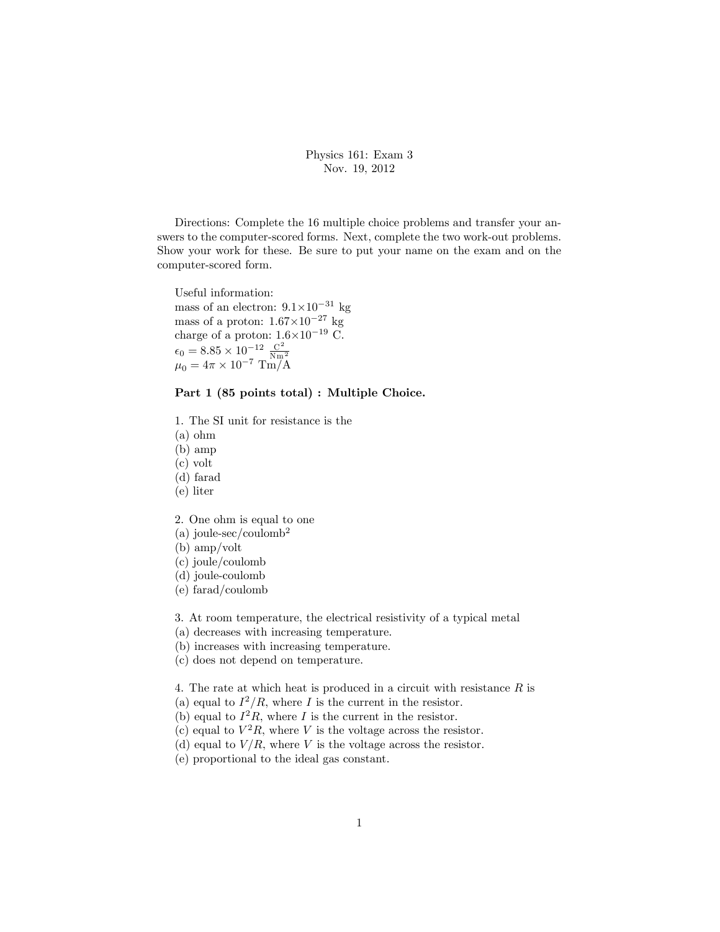Physics 161: Exam 3 Nov. 19, 2012

Directions: Complete the 16 multiple choice problems and transfer your answers to the computer-scored forms. Next, complete the two work-out problems. Show your work for these. Be sure to put your name on the exam and on the computer-scored form.

Useful information: mass of an electron:  $9.1 \times 10^{-31}$  kg mass of a proton:  $1.67\times10^{-27}$  kg charge of a proton:  $1.6 \times 10^{-19}$  C.  $\epsilon_0 = 8.85 \times 10^{-12} \frac{C^2}{Nm}$  $\mu_0 = 4\pi \times 10^{-7} \text{ Tm/A}$ 

Part 1 (85 points total) : Multiple Choice.

1. The SI unit for resistance is the

(a) ohm

(b) amp

(c) volt

(d) farad

(e) liter

2. One ohm is equal to one

(a) joule-sec/coulomb<sup>2</sup>

(b) amp/volt

(c) joule/coulomb

(d) joule-coulomb

(e) farad/coulomb

3. At room temperature, the electrical resistivity of a typical metal

(a) decreases with increasing temperature.

(b) increases with increasing temperature.

(c) does not depend on temperature.

4. The rate at which heat is produced in a circuit with resistance  $R$  is

(a) equal to  $I^2/R$ , where I is the current in the resistor.

(b) equal to  $I^2R$ , where I is the current in the resistor.

(c) equal to  $V^2R$ , where V is the voltage across the resistor.

(d) equal to  $V/R$ , where V is the voltage across the resistor.

(e) proportional to the ideal gas constant.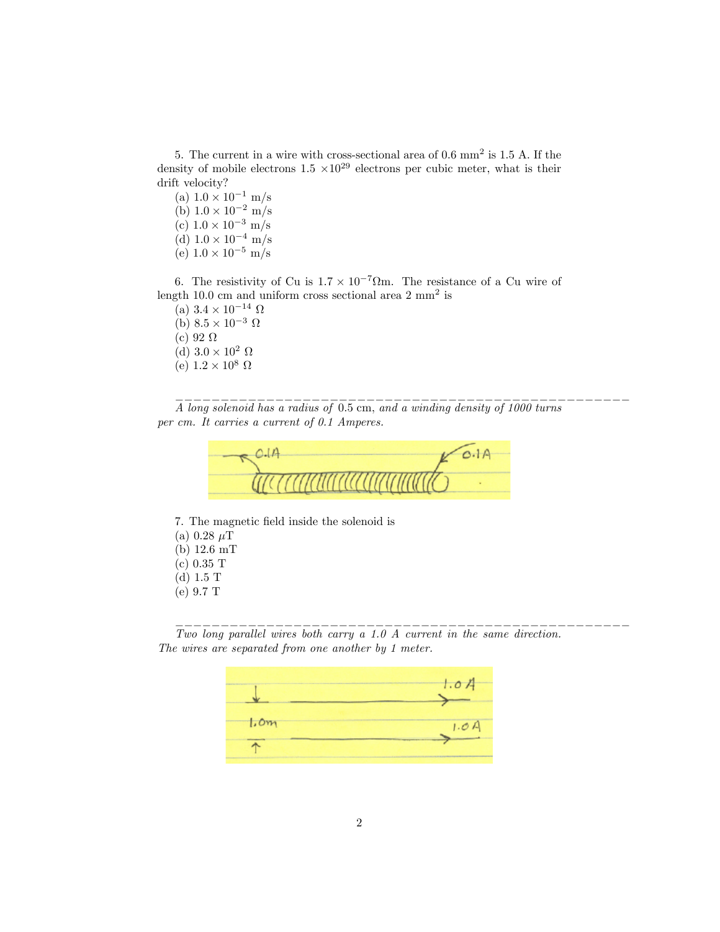5. The current in a wire with cross-sectional area of 0.6 mm<sup>2</sup> is 1.5 A. If the density of mobile electrons  $1.5 \times 10^{29}$  electrons per cubic meter, what is their drift velocity?

- (a)  $1.0 \times 10^{-1}$  m/s (b)  $1.0 \times 10^{-2}$  m/s (c)  $1.0 \times 10^{-3}$  m/s
- (d)  $1.0 \times 10^{-4}$  m/s (e)  $1.0 \times 10^{-5}$  m/s

6. The resistivity of Cu is  $1.7 \times 10^{-7} \Omega$ m. The resistance of a Cu wire of length 10.0 cm and uniform cross sectional area  $2 \text{ mm}^2$  is

(a)  $3.4 \times 10^{-14} \Omega$ (b)  $8.5 \times 10^{-3} \Omega$ (c) 92  $\Omega$ (d)  $3.0 \times 10^2 \Omega$ (e)  $1.2\times10^8$   $\Omega$ 

A long solenoid has a radius of 0:5 cm, and a winding density of 1000 turns per cm. It carries a current of 0.1 Amperes.

\_\_\_\_\_\_\_\_\_\_\_\_\_\_\_\_\_\_\_\_\_\_\_\_\_\_\_\_\_\_\_\_\_\_\_\_\_\_\_\_\_\_\_\_\_\_\_\_\_\_



7. The magnetic field inside the solenoid is (a) 0.28  $\mu$ T (b) 12.6 mT (c) 0.35 T (d) 1.5 T (e) 9.7 T

Two long parallel wires both carry a 1.0 A current in the same direction. The wires are separated from one another by 1 meter.

\_\_\_\_\_\_\_\_\_\_\_\_\_\_\_\_\_\_\_\_\_\_\_\_\_\_\_\_\_\_\_\_\_\_\_\_\_\_\_\_\_\_\_\_\_\_\_\_\_\_

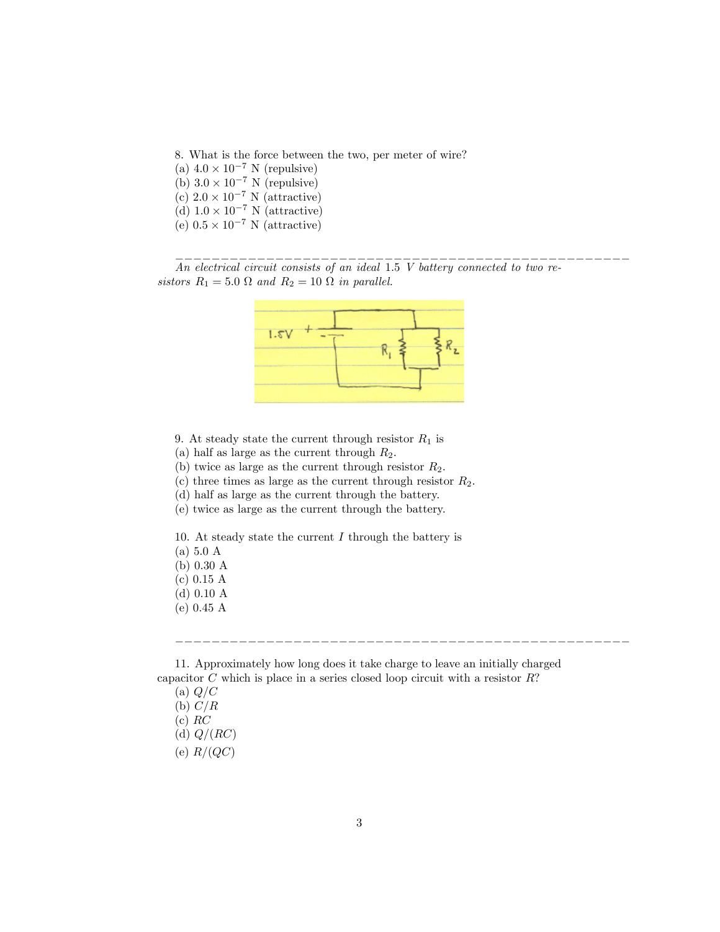8. What is the force between the two, per meter of wire?

(a)  $4.0 \times 10^{-7}$  N (repulsive) (b)  $3.0 \times 10^{-7}$  N (repulsive) (c)  $2.0 \times 10^{-7}$  N (attractive) (d)  $1.0 \times 10^{-7}$  N (attractive) (e)  $0.5 \times 10^{-7}$  N (attractive)

 $\mathcal{L}_\text{max}$ An electrical circuit consists of an ideal 1.5 V battery connected to two resistors  $R_1 = 5.0 \Omega$  and  $R_2 = 10 \Omega$  in parallel.



- 9. At steady state the current through resistor  $R_1$  is
- (a) half as large as the current through  $R_2$ .

(b) twice as large as the current through resistor  $R_2$ .

(c) three times as large as the current through resistor  $R_2$ .

(d) half as large as the current through the battery.

(e) twice as large as the current through the battery.

10. At steady state the current  $I$  through the battery is

- (a) 5.0 A
- (b) 0.30 A
- (c) 0.15 A
- (d) 0.10 A
- (e) 0.45 A

11. Approximately how long does it take charge to leave an initially charged capacitor  $C$  which is place in a series closed loop circuit with a resistor  $R$ ?

\_\_\_\_\_\_\_\_\_\_\_\_\_\_\_\_\_\_\_\_\_\_\_\_\_\_\_\_\_\_\_\_\_\_\_\_\_\_\_\_\_\_\_\_\_\_\_\_\_\_

(a)  $Q/C$ 

- (b)  $C/R$  $(c) RC$
- 
- (d)  $Q/(RC)$
- (e)  $R/(QC)$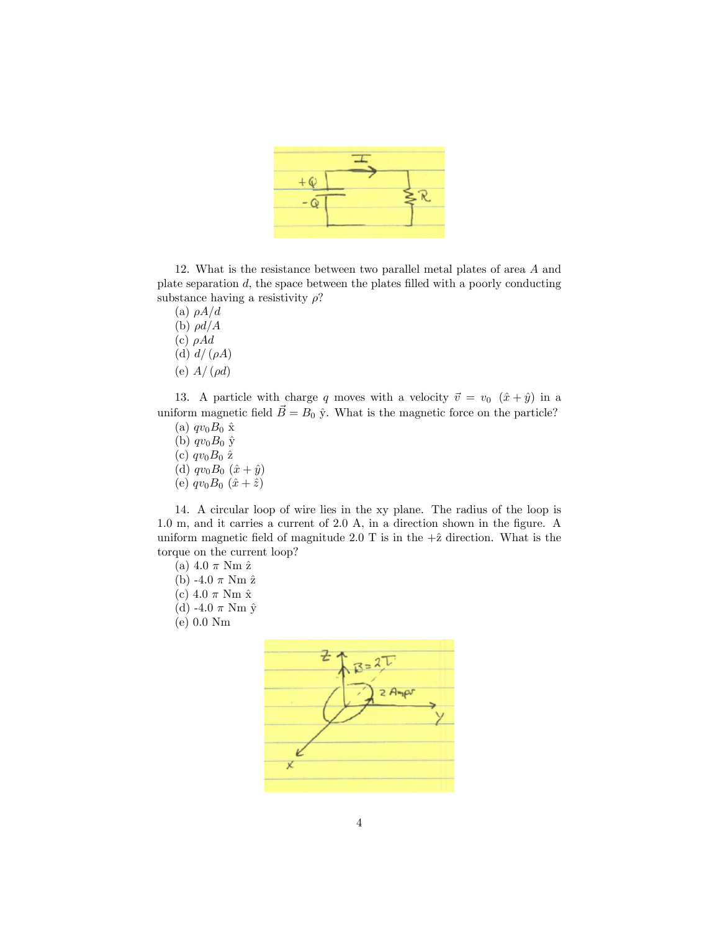

12. What is the resistance between two parallel metal plates of area A and plate separation  $d$ , the space between the plates filled with a poorly conducting substance having a resistivity  $\rho$ ?

(a)  $\rho A/d$ (b)  $\rho d/A$ (c)  $\rho A d$ (d)  $d/(\rho A)$ (e)  $A/(\rho d)$ 

13. A particle with charge q moves with a velocity  $\vec{v} = v_0$   $(\hat{x} + \hat{y})$  in a uniform magnetic field  $\vec{B} = B_0 \hat{y}$ . What is the magnetic force on the particle?

(a)  $qv_0B_0 \hat{\mathbf{x}}$ (b)  $qv_0B_0 \hat{y}$ (c)  $qv_0B_0$   $\hat{z}$ (d)  $qv_0B_0 (x + \hat{y})$ (e)  $qv_0B_0(\hat{x} + \hat{z})$ 

14. A circular loop of wire lies in the xy plane. The radius of the loop is  $1.0 \text{ m}$ , and it carries a current of  $2.0 \text{ A}$ , in a direction shown in the figure. A uniform magnetic field of magnitude 2.0 T is in the  $+\hat{z}$  direction. What is the torque on the current loop?

- (a)  $4.0 \pi$  Nm  $\hat{z}$
- (b) -4.0  $\pi$  Nm  $\hat{z}$
- (c) 4.0  $\pi$  Nm  $\hat{x}$
- (d) -4.0  $\pi$  Nm  $\hat{y}$
- (e) 0.0 Nm

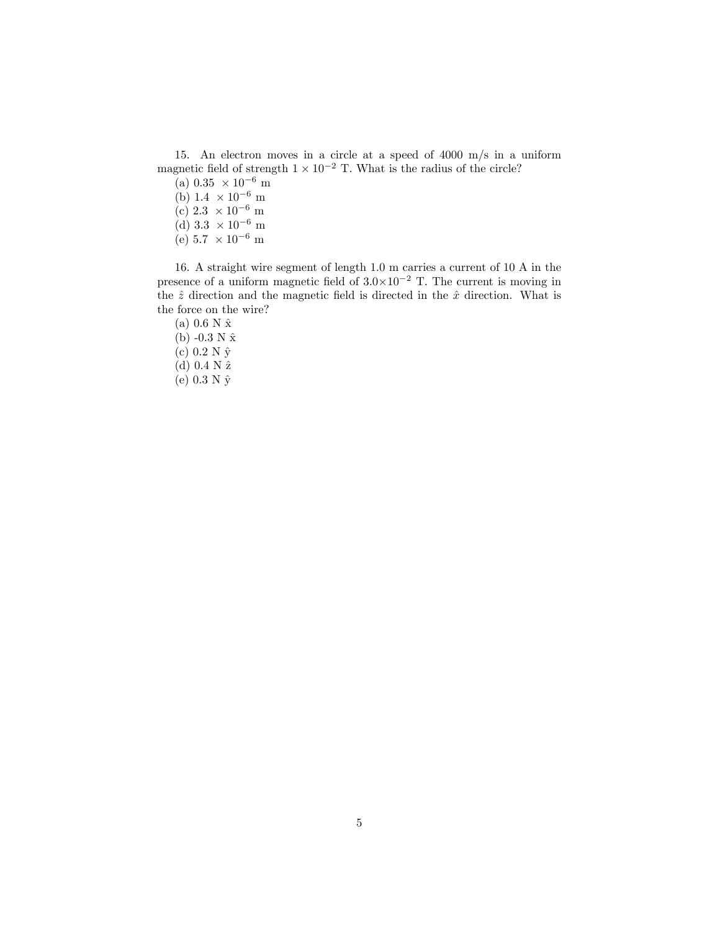15. An electron moves in a circle at a speed of 4000 m/s in a uniform magnetic field of strength  $1 \times 10^{-2}$  T. What is the radius of the circle?

(a)  $0.35 \times 10^{-6}$  m (b)  $1.4 \times 10^{-6}$  m (c)  $2.3 \times 10^{-6}$  m (d)  $3.3 \times 10^{-6}$  m (e)  $5.7 \times 10^{-6}$  m

16. A straight wire segment of length 1.0 m carries a current of 10 A in the presence of a uniform magnetic field of  $3.0 \times 10^{-2}$  T. The current is moving in the  $\hat{z}$  direction and the magnetic field is directed in the  $\hat{x}$  direction. What is the force on the wire?

(a)  $0.6 N \hat{x}$ (b)  $-0.3 N \hat{x}$ (c)  $0.2 N \hat{y}$ (d)  $0.4 N \hat{z}$ (e) 0.3 N  $\hat{y}$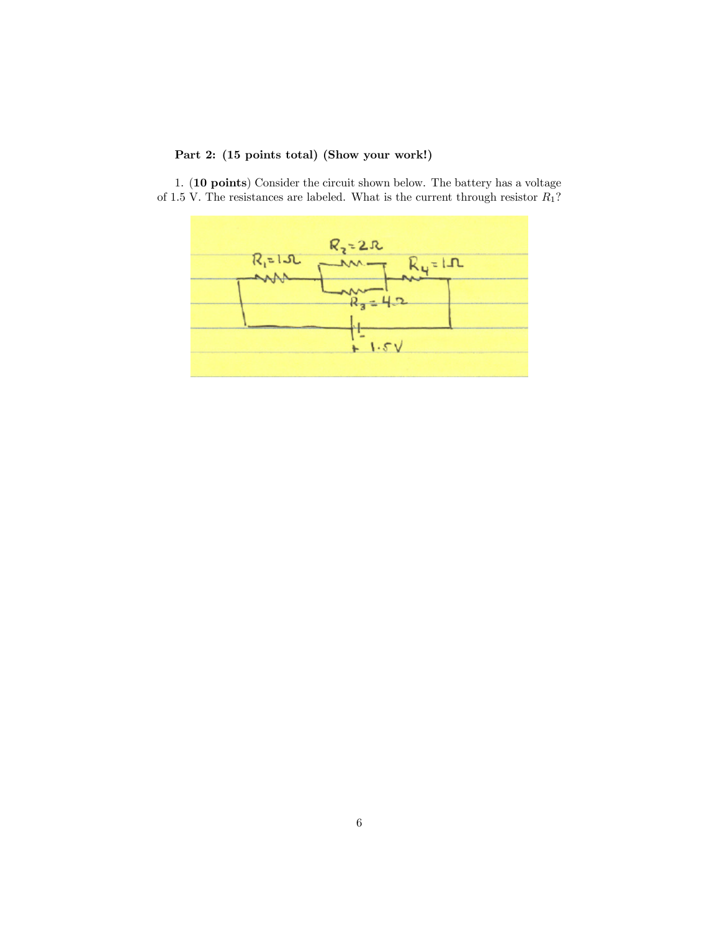## Part 2: (15 points total) (Show your work!)

1. (10 points) Consider the circuit shown below. The battery has a voltage of 1.5 V. The resistances are labeled. What is the current through resistor  $R_1$ ?

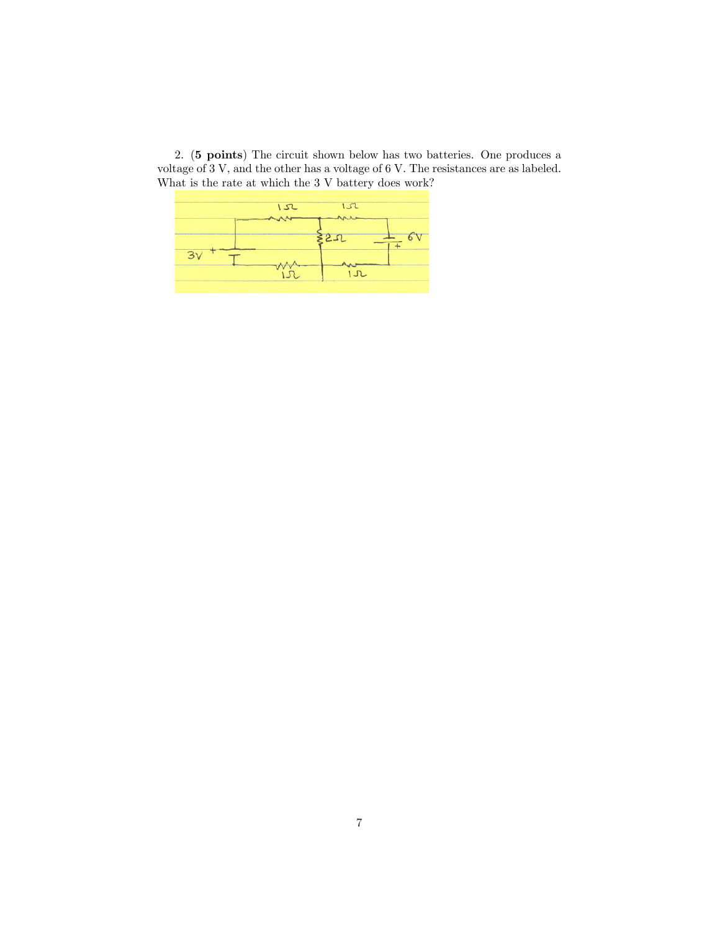2. (5 points) The circuit shown below has two batteries. One produces a voltage of 3 V, and the other has a voltage of 6 V. The resistances are as labeled. What is the rate at which the 3 V battery does work?